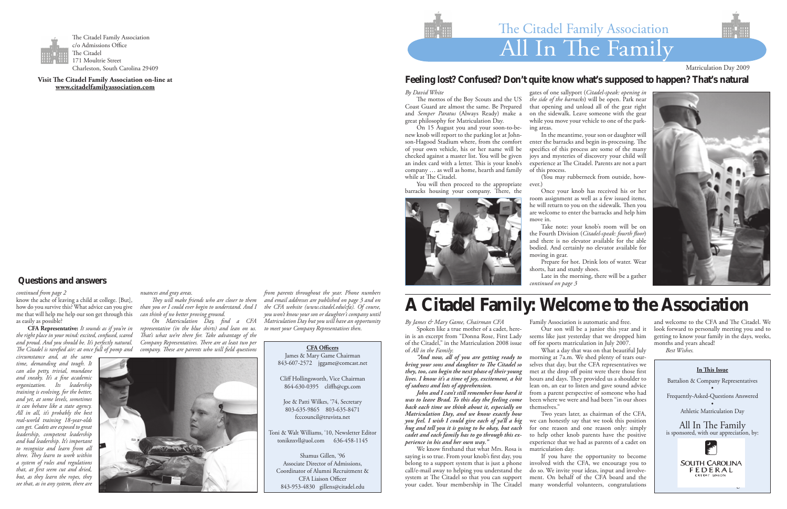### *By David White*

 The mottos of the Boy Scouts and the US Coast Guard are almost the same. Be Prepared and *Semper Paratus* (Always Ready) make a great philosophy for Matriculation Day.

You will then proceed to the appropriate ever.) barracks housing your company. There, the

 On 15 August you and your soon-to-benew knob will report to the parking lot at Johnson-Hagood Stadium where, from the comfort of your own vehicle, his or her name will be checked against a master list. You will be given an index card with a letter. This is your knob's company … as well as home, hearth and family while at The Citadel.

gates of one sallyport (*Citadel-speak: opening in the side of the barracks*) will be open. Park near that opening and unload all of the gear right on the sidewalk. Leave someone with the gear while you move your vehicle to one of the park-

ing areas.

 In the meantime, your son or daughter will enter the barracks and begin in-processing. The specifics of this process are some of the many joys and mysteries of discovery your child will experience at The Citadel. Parents are not a part

of this process.



 (You may rubberneck from outside, how-

 Once your knob has received his or her room assignment as well as a few issued items, he will return to you on the sidewalk. Then you are welcome to enter the barracks and help him

 Take note: your knob's room will be on the Fourth Division (*Citadel-speak: fourth floor*) and there is no elevator available for the able bodied. And certainly no elevator available for



 Prepare for hot. Drink lots of water. Wear shorts, hat and sturdy shoes.

 Late in the morning, there will be a gather



What a day that was on that beautiful July morning at 7a.m. We shed plenty of tears ourselves that day, but the CFA representatives we met at the drop off point were there those first hours and days. They provided us a shoulder to lean on, an ear to listen and gave sound advice from a parent perspective of someone who had been where we were and had been "in our shoes themselves."

*By James & Mary Game, Chairman CFA*

 Spoken like a true mother of a cadet, herein is an excerpt from "Donna Rose, First Lady of the Citadel," in the Matriculation 2008 issue of *All in the Family*:

*"And now, all of you are getting ready to bring your sons and daughter to The Citadel so they, too, can begin the next phase of their young lives. I know it's a time of joy, excitement, a bit of sadness and lots of apprehension.*

*John and I can't still remember how hard it was to leave Brad. To this day the feeling come back each time we think about it, especially on Matriculation Day, and we know exactly how you feel. I wish I could give each of ya'll a big hug and tell you it is going to be okay, but each cadet and each family has to go through this experience in his and her own way."*

 We know firsthand that what Mrs. Rosa is saying is so true. From your knob's first day, you belong to a support system that is just a phone call/e-mail away to helping you understand the system at The Citadel so that you can support your cadet. Your membership in The Citadel

Family Association is automatic and free.

 Our son will be a junior this year and it seems like just yesterday that we dropped him off for sports matriculation in July 2007.

 Two years later, as chairman of the CFA, we can honestly say that we took this position for one reason and one reason only: simply to help other knob parents have the positive experience that we had as parents of a cadet on matriculation day.

 If you have the opportunity to become involved with the CFA, we encourage you to do so. We invite your ideas, input and involvement. On behalf of the CFA board and the many wonderful volunteers, congratulations



and welcome to the CFA and The Citadel. We look forward to personally meeting you and to getting to know your family in the days, weeks, months and years ahead! *Best Wishes.*

# All In The Family The Citadel Family Association

Matriculation Day 2009



**Visit The Citadel Family Association on-line at www.citadelfamilyassociation.com**

# **A Citadel Family: Welcome to the Association**

**CFA Officers** James & Mary Game Chairman 843-607-2572 jggame@comcast.net

Cliff Hollingsworth, Vice Chairman 864-630-0395 cliffh@cgx.com

Joe & Patti Wilkes, '74, Secretary 803-635-9865 803-635-8471 fcccouncil@truvista.net

Toni & Walt Williams, '10, Newsletter Editor toniknxvll@aol.com 636-458-1145

Shamus Gillen, '96 Associate Director of Admissions, Coordinator of Alumni Recruitment & CFA Liaison Officer 843-953-4830 gillens@citadel.edu

**In This Issue** Battalion & Company Representatives • Frequently-Asked-Questions Answered • Athletic Matriculation Day

All In The Family<br>is sponsored, with our appreciation, by:



#### *continued from page 2*

know the ache of leaving a child at college. [But], how do you survive this? What advice can you give me that will help me help our son get through this as easily as possible?

**CFA Representative:** *It sounds as if you're in the right place in your mind: excited, confused, scared and proud. And you should be. It's perfectly natural. The Citadel is rarefied air: at once full of pomp and* 

*circumstance and, at the same time, demanding and tough. It can also petty, trivial, mundane and sneaky. It's a fine academic organization. Its leadership training is evolving, for the better, and yet, at some levels, sometimes it can behave like a state agency. All in all, it's probably the best real-world training 18-year-olds can get. Cadets are exposed to great leadership, competent leadership and bad leadership. It's important to recognize and learn from all three. They learn to work within a system of rules and regulations that, at first seem cut and dried, but, as they learn the ropes, they see that, as in any system, there are* 

*nuances and gray areas.* 

*They will make friends who are closer to them than you or I could ever begin to understand. And I can think of no better proving ground.*

*On Matriculation Day, find a CFA representative (in the blue shirts) and lean on us. That's what we're there for. Take advantage of the Company Representatives. There are at least two per company. These are parents who will field questions* 



*from parents throughout the year. Phone numbers and email addresses are published on page 3 and on the CFA website (www.citadel.edu/cfa). Of course, you won't know your son or daughter's company until Matriculation Day but you will have an opportunity to meet your Company Representatives then.* 

# **Questions and answers**

# **Feeling lost? Confused? Don't quite know what's supposed to happen? That's natural**